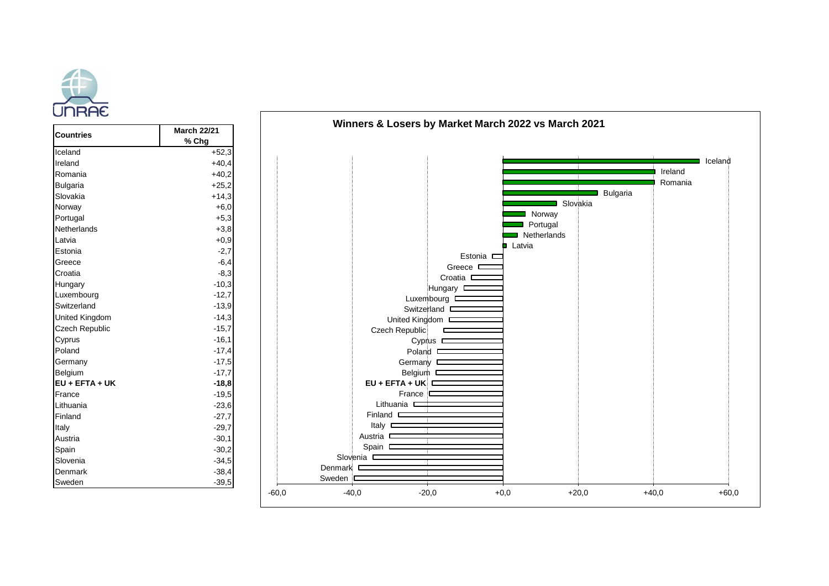

| <b>Countries</b>      | <b>March 22/21</b><br>% Chg | <u>WHITCHS &amp; LUSCHS BY IWAINGLIMATURE LUZZ VS IWAIUN ZUZT</u> |         |         |
|-----------------------|-----------------------------|-------------------------------------------------------------------|---------|---------|
| Iceland               | $+52,3$                     |                                                                   |         |         |
| Ireland               | $+40,4$                     |                                                                   |         | Iceland |
| Romania               | $+40,2$                     |                                                                   | Ireland |         |
| Bulgaria              | $+25,2$                     |                                                                   | Romania |         |
| Slovakia              | $+14,3$                     | <b>Bulgaria</b>                                                   |         |         |
| Norway                | $+6,0$                      | Slovakia                                                          |         |         |
| Portugal              | $+5,3$                      | Norway                                                            |         |         |
| Netherlands           | $+3,8$                      | Portugal                                                          |         |         |
| Latvia                | $+0,9$                      | Netherlands                                                       |         |         |
| Estonia               | $-2,7$                      | <b>Latvia</b><br>Estonia $\square$                                |         |         |
| Greece                | $-6,4$                      | Greece $\square$                                                  |         |         |
| Croatia               | $-8,3$                      | Croatia $\square$                                                 |         |         |
| Hungary               | $-10,3$                     | Hungary $\square$                                                 |         |         |
| Luxembourg            | $-12,7$                     | Luxembourg I                                                      |         |         |
| Switzerland           | $-13,9$                     | Switzerland <b>D</b>                                              |         |         |
| <b>United Kingdom</b> | $-14,3$                     | United Kingdom D                                                  |         |         |
| <b>Czech Republic</b> | $-15,7$                     | Czech Republic                                                    |         |         |
| Cyprus                | $-16,1$                     | Cyprus $\square$                                                  |         |         |
| Poland                | $-17,4$                     | Poland $\square$                                                  |         |         |
| Germany               | $-17,5$                     | Germany $\square$                                                 |         |         |
| Belgium               | $-17,7$                     | Belgium D                                                         |         |         |
| EU + EFTA + UK        | $-18,8$                     | $EU + EFTA + UK$                                                  |         |         |
| France                | $-19,5$                     | France                                                            |         |         |
| Lithuania             | $-23,6$                     | Lithuania <b>D</b>                                                |         |         |
| Finland               | $-27,7$                     | Finland <b>C</b>                                                  |         |         |
| Italy                 | $-29,7$                     | Italy $\square$                                                   |         |         |
| Austria               | $-30,1$                     | Austria <b>D</b>                                                  |         |         |
| Spain                 | $-30,2$                     | Spain D                                                           |         |         |
| Slovenia              | $-34,5$                     | Slovenia <b>D</b>                                                 |         |         |
| Denmark               | $-38,4$                     | Denmark                                                           |         |         |
| Sweden                | $-39,5$                     | Sweden                                                            |         |         |
|                       |                             | $-60,0$<br>$-20,0$<br>$+0,0$<br>$+20,0$<br>$-40,0$                | $+40,0$ | $+60,0$ |

**Winners & Losers by Market March 2022 vs March 2021**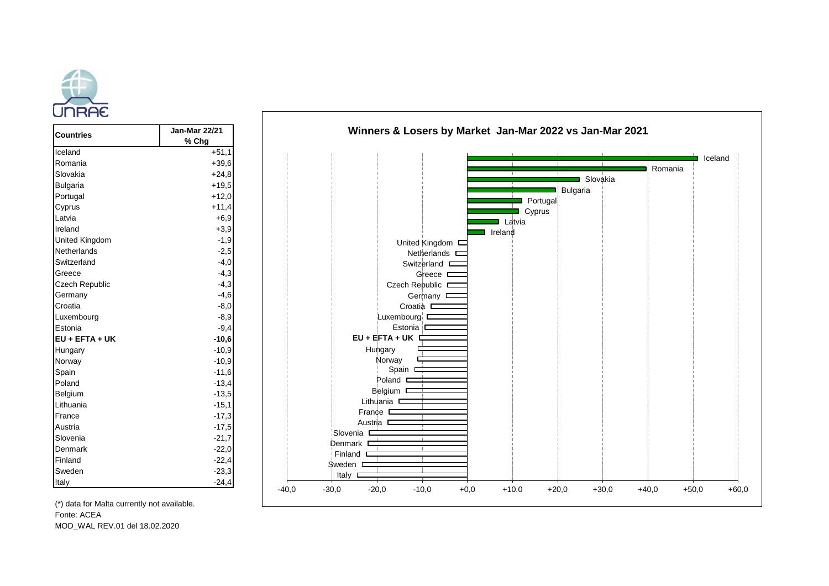



Fonte: ACEA MOD\_WAL REV.01 del 18.02.2020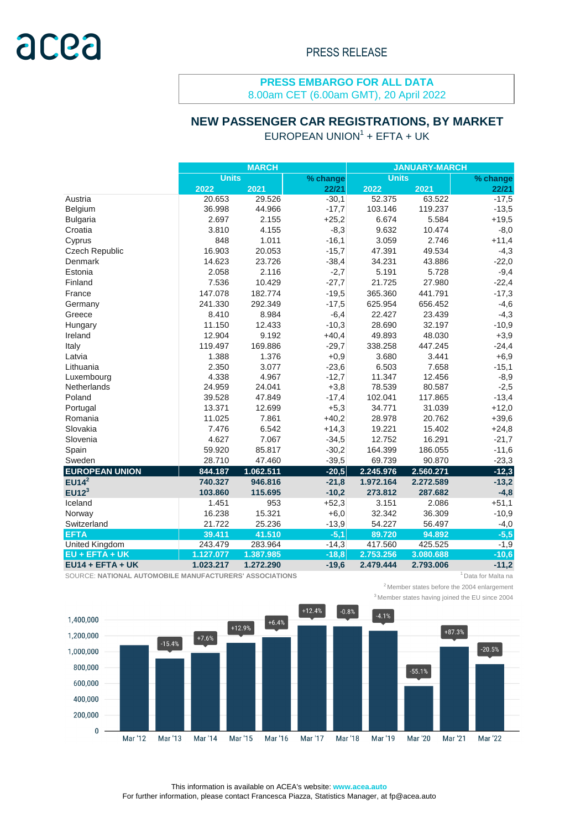# **NEW PASSENGER CAR REGISTRATIONS, BY MARKET**

 $E$ UROPEAN UNION $1$  + EFTA + UK

|                       |              | <b>MARCH</b> |          | <b>JANUARY-MARCH</b> |           |          |  |
|-----------------------|--------------|--------------|----------|----------------------|-----------|----------|--|
|                       | <b>Units</b> |              | % change | <b>Units</b>         |           | % change |  |
|                       | 2022         | 2021         | 22/21    | 2022                 | 2021      | 22/21    |  |
| Austria               | 20.653       | 29.526       | $-30,1$  | 52.375               | 63.522    | $-17,5$  |  |
| Belgium               | 36.998       | 44.966       | $-17,7$  | 103.146              | 119.237   | $-13,5$  |  |
| <b>Bulgaria</b>       | 2.697        | 2.155        | $+25,2$  | 6.674                | 5.584     | $+19,5$  |  |
| Croatia               | 3.810        | 4.155        | $-8,3$   | 9.632                | 10.474    | $-8,0$   |  |
| Cyprus                | 848          | 1.011        | $-16,1$  | 3.059                | 2.746     | $+11,4$  |  |
| <b>Czech Republic</b> | 16.903       | 20.053       | $-15,7$  | 47.391               | 49.534    | $-4,3$   |  |
| Denmark               | 14.623       | 23.726       | $-38,4$  | 34.231               | 43.886    | $-22,0$  |  |
| Estonia               | 2.058        | 2.116        | $-2,7$   | 5.191                | 5.728     | $-9,4$   |  |
| Finland               | 7.536        | 10.429       | $-27,7$  | 21.725               | 27.980    | $-22,4$  |  |
| France                | 147.078      | 182.774      | $-19,5$  | 365.360              | 441.791   | $-17,3$  |  |
| Germany               | 241.330      | 292.349      | $-17,5$  | 625.954              | 656.452   | $-4,6$   |  |
| Greece                | 8.410        | 8.984        | $-6,4$   | 22.427               | 23.439    | $-4,3$   |  |
| Hungary               | 11.150       | 12.433       | $-10,3$  | 28.690               | 32.197    | $-10,9$  |  |
| Ireland               | 12.904       | 9.192        | $+40,4$  | 49.893               | 48.030    | $+3,9$   |  |
| Italy                 | 119.497      | 169.886      | $-29,7$  | 338.258              | 447.245   | $-24,4$  |  |
| Latvia                | 1.388        | 1.376        | $+0,9$   | 3.680                | 3.441     | $+6,9$   |  |
| Lithuania             | 2.350        | 3.077        | $-23,6$  | 6.503                | 7.658     | $-15,1$  |  |
| Luxembourg            | 4.338        | 4.967        | $-12,7$  | 11.347               | 12.456    | $-8,9$   |  |
| Netherlands           | 24.959       | 24.041       | $+3,8$   | 78.539               | 80.587    | $-2,5$   |  |
| Poland                | 39.528       | 47.849       | $-17,4$  | 102.041              | 117.865   | $-13,4$  |  |
| Portugal              | 13.371       | 12.699       | $+5,3$   | 34.771               | 31.039    | $+12,0$  |  |
| Romania               | 11.025       | 7.861        | $+40,2$  | 28.978               | 20.762    | $+39,6$  |  |
| Slovakia              | 7.476        | 6.542        | $+14,3$  | 19.221               | 15.402    | $+24,8$  |  |
| Slovenia              | 4.627        | 7.067        | $-34,5$  | 12.752               | 16.291    | $-21,7$  |  |
| Spain                 | 59.920       | 85.817       | $-30,2$  | 164.399              | 186.055   | $-11,6$  |  |
| Sweden                | 28.710       | 47.460       | $-39,5$  | 69.739               | 90.870    | $-23,3$  |  |
| <b>EUROPEAN UNION</b> | 844.187      | 1.062.511    | $-20,5$  | 2.245.976            | 2.560.271 | $-12,3$  |  |
| EUI4 <sup>2</sup>     | 740.327      | 946.816      | $-21,8$  | 1.972.164            | 2.272.589 | $-13,2$  |  |
| EUI2 <sup>3</sup>     | 103.860      | 115.695      | $-10,2$  | 273.812              | 287.682   | $-4,8$   |  |
| Iceland               | 1.451        | 953          | $+52,3$  | 3.151                | 2.086     | $+51,1$  |  |
| Norway                | 16.238       | 15.321       | $+6,0$   | 32.342               | 36.309    | $-10,9$  |  |
| Switzerland           | 21.722       | 25.236       | $-13,9$  | 54.227               | 56.497    | $-4,0$   |  |
| <b>EFTA</b>           | 39.411       | 41.510       | $-5,1$   | 89.720               | 94.892    | $-5,5$   |  |
| <b>United Kingdom</b> | 243.479      | 283.964      | $-14,3$  | 417.560              | 425.525   | $-1,9$   |  |
| <b>EU + EFTA + UK</b> | 1.127.077    | 1.387.985    | $-18,8$  | 2.753.256            | 3.080.688 | $-10,6$  |  |
| $EU14 + EFTA + UK$    | 1.023.217    | 1.272.290    | $-19,6$  | 2.479.444            | 2.793.006 | $-11,2$  |  |

SOURCE: NATIONAL AUTOMOBILE MANUFACTURERS' ASSOCIATIONS **1** Data for Malta na



 $2$ Member states before the 2004 enlargement





This information is available on ACEA's website: **www.acea.auto**  For further information, please contact Francesca Piazza, Statistics Manager, at fp@acea.auto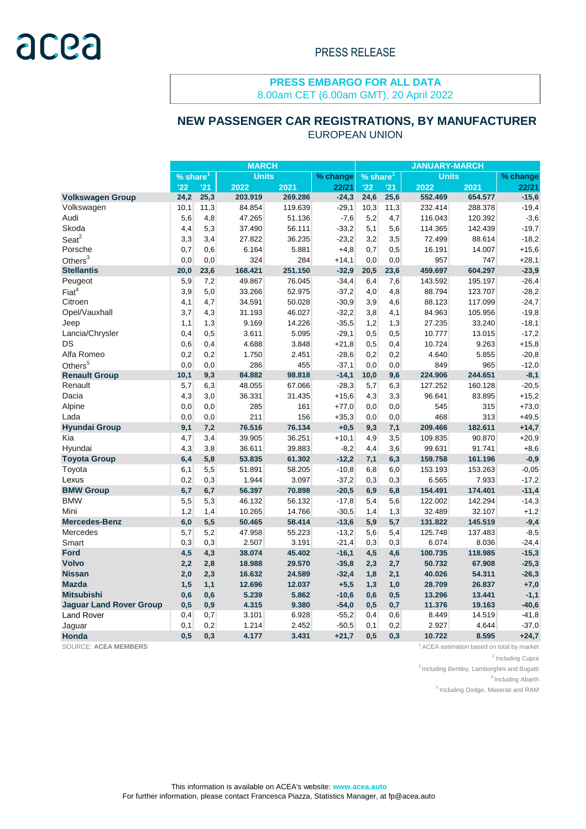# **NEW PASSENGER CAR REGISTRATIONS, BY MANUFACTURER**

EUROPEAN UNION

|                                | <b>MARCH</b>           |      |              |         |          |                        |      | <b>JANUARY-MARCH</b> |         |          |  |  |  |  |
|--------------------------------|------------------------|------|--------------|---------|----------|------------------------|------|----------------------|---------|----------|--|--|--|--|
|                                | $%$ share <sup>1</sup> |      | <b>Units</b> |         | % change | $%$ share <sup>1</sup> |      | <b>Units</b>         |         | % change |  |  |  |  |
|                                | '22                    | '21  | 2022         | 2021    | 22/21    | '22                    | '21  | 2022                 | 2021    | 22/21    |  |  |  |  |
| <b>Volkswagen Group</b>        | 24,2                   | 25,3 | 203.919      | 269.286 | $-24,3$  | 24,6                   | 25,6 | 552.469              | 654.577 | $-15,6$  |  |  |  |  |
| Volkswagen                     | 10,1                   | 11,3 | 84.854       | 119.639 | $-29,1$  | 10,3                   | 11,3 | 232.414              | 288.378 | $-19,4$  |  |  |  |  |
| Audi                           | 5,6                    | 4,8  | 47.265       | 51.136  | $-7,6$   | 5,2                    | 4,7  | 116.043              | 120.392 | $-3,6$   |  |  |  |  |
| Skoda                          | 4,4                    | 5,3  | 37.490       | 56.111  | $-33,2$  | 5,1                    | 5,6  | 114.365              | 142.439 | $-19,7$  |  |  |  |  |
| $S$ eat $2$                    | 3,3                    | 3,4  | 27.822       | 36.235  | $-23,2$  | 3,2                    | 3,5  | 72.499               | 88.614  | $-18,2$  |  |  |  |  |
| Porsche                        | 0,7                    | 0,6  | 6.164        | 5.881   | $+4,8$   | 0,7                    | 0,5  | 16.191               | 14.007  | $+15,6$  |  |  |  |  |
| Others $3$                     | 0,0                    | 0,0  | 324          | 284     | $+14,1$  | 0,0                    | 0,0  | 957                  | 747     | $+28,1$  |  |  |  |  |
| <b>Stellantis</b>              | 20,0                   | 23,6 | 168.421      | 251.150 | $-32,9$  | 20,5                   | 23,6 | 459.697              | 604.297 | $-23,9$  |  |  |  |  |
| Peugeot                        | 5,9                    | 7,2  | 49.867       | 76.045  | $-34,4$  | 6,4                    | 7,6  | 143.592              | 195.197 | $-26,4$  |  |  |  |  |
| Fiat <sup>4</sup>              | 3,9                    | 5,0  | 33.266       | 52.975  | $-37,2$  | 4,0                    | 4,8  | 88.794               | 123.707 | $-28,2$  |  |  |  |  |
| Citroen                        | 4,1                    | 4,7  | 34.591       | 50.028  | $-30,9$  | 3,9                    | 4,6  | 88.123               | 117.099 | $-24,7$  |  |  |  |  |
| Opel/Vauxhall                  | 3,7                    | 4,3  | 31.193       | 46.027  | $-32,2$  | 3,8                    | 4,1  | 84.963               | 105.956 | $-19,8$  |  |  |  |  |
| Jeep                           | 1,1                    | 1,3  | 9.169        | 14.226  | $-35,5$  | 1,2                    | 1,3  | 27.235               | 33.240  | $-18,1$  |  |  |  |  |
| Lancia/Chrysler                | 0,4                    | 0,5  | 3.611        | 5.095   | $-29,1$  | 0,5                    | 0,5  | 10.777               | 13.015  | $-17,2$  |  |  |  |  |
| <b>DS</b>                      | 0,6                    | 0,4  | 4.688        | 3.848   | $+21,8$  | 0,5                    | 0,4  | 10.724               | 9.263   | $+15,8$  |  |  |  |  |
| Alfa Romeo                     | 0,2                    | 0,2  | 1.750        | 2.451   | $-28,6$  | 0,2                    | 0,2  | 4.640                | 5.855   | $-20,8$  |  |  |  |  |
| Others <sup>5</sup>            | 0,0                    | 0,0  | 286          | 455     | $-37,1$  | 0,0                    | 0,0  | 849                  | 965     | $-12,0$  |  |  |  |  |
| <b>Renault Group</b>           | 10,1                   | 9,3  | 84.882       | 98.818  | $-14,1$  | 10,0                   | 9,6  | 224.906              | 244.651 | $-8,1$   |  |  |  |  |
| Renault                        | 5,7                    | 6,3  | 48.055       | 67.066  | $-28,3$  | 5,7                    | 6,3  | 127.252              | 160.128 | $-20,5$  |  |  |  |  |
| Dacia                          | 4,3                    | 3,0  | 36.331       | 31.435  | $+15,6$  | 4,3                    | 3,3  | 96.641               | 83.895  | $+15,2$  |  |  |  |  |
| Alpine                         | 0,0                    | 0,0  | 285          | 161     | $+77,0$  | 0,0                    | 0,0  | 545                  | 315     | $+73,0$  |  |  |  |  |
| Lada                           | 0,0                    | 0,0  | 211          | 156     | $+35,3$  | 0,0                    | 0,0  | 468                  | 313     | $+49,5$  |  |  |  |  |
| <b>Hyundai Group</b>           | 9,1                    | 7,2  | 76.516       | 76.134  | $+0,5$   | 9,3                    | 7,1  | 209.466              | 182.611 | $+14,7$  |  |  |  |  |
| Kia                            | 4,7                    | 3,4  | 39.905       | 36.251  | $+10,1$  | 4,9                    | 3,5  | 109.835              | 90.870  | $+20,9$  |  |  |  |  |
| Hyundai                        | 4,3                    | 3,8  | 36.611       | 39.883  | $-8,2$   | 4,4                    | 3,6  | 99.631               | 91.741  | $+8,6$   |  |  |  |  |
| <b>Toyota Group</b>            | 6,4                    | 5,8  | 53.835       | 61.302  | $-12,2$  | 7,1                    | 6,3  | 159.758              | 161.196 | $-0,9$   |  |  |  |  |
| Toyota                         | 6,1                    | 5,5  | 51.891       | 58.205  | $-10,8$  | 6,8                    | 6,0  | 153.193              | 153.263 | $-0,05$  |  |  |  |  |
| Lexus                          | 0,2                    | 0,3  | 1.944        | 3.097   | $-37,2$  | 0,3                    | 0,3  | 6.565                | 7.933   | $-17,2$  |  |  |  |  |
| <b>BMW Group</b>               | 6,7                    | 6,7  | 56.397       | 70.898  | $-20,5$  | 6,9                    | 6,8  | 154.491              | 174.401 | $-11,4$  |  |  |  |  |
| <b>BMW</b>                     | 5,5                    | 5,3  | 46.132       | 56.132  | $-17,8$  | 5,4                    | 5,6  | 122.002              | 142.294 | $-14,3$  |  |  |  |  |
| Mini                           | 1,2                    | 1,4  | 10.265       | 14.766  | $-30,5$  | 1,4                    | 1,3  | 32.489               | 32.107  | $+1,2$   |  |  |  |  |
| <b>Mercedes-Benz</b>           | 6,0                    | 5,5  | 50.465       | 58.414  | $-13,6$  | 5,9                    | 5,7  | 131.822              | 145.519 | $-9,4$   |  |  |  |  |
| Mercedes                       | 5,7                    | 5,2  | 47.958       | 55.223  | $-13,2$  | 5,6                    | 5,4  | 125.748              | 137.483 | $-8,5$   |  |  |  |  |
| Smart                          | 0,3                    | 0,3  | 2.507        | 3.191   | $-21,4$  | 0,3                    | 0,3  | 6.074                | 8.036   | $-24,4$  |  |  |  |  |
| <b>Ford</b>                    | 4,5                    | 4,3  | 38.074       | 45.402  | $-16,1$  | 4,5                    | 4,6  | 100.735              | 118.985 | $-15,3$  |  |  |  |  |
| <b>Volvo</b>                   | 2,2                    | 2,8  | 18.988       | 29.570  | $-35,8$  | 2,3                    | 2,7  | 50.732               | 67.908  | $-25,3$  |  |  |  |  |
| <b>Nissan</b>                  | 2,0                    | 2,3  | 16.632       | 24.589  | $-32,4$  | 1,8                    | 2,1  | 40.026               | 54.311  | $-26,3$  |  |  |  |  |
| <b>Mazda</b>                   | 1,5                    | 1,1  | 12.696       | 12.037  | $+5,5$   | 1,3                    | 1,0  | 28.709               | 26.837  | $+7,0$   |  |  |  |  |
| <b>Mitsubishi</b>              | 0,6                    | 0,6  | 5.239        | 5.862   | $-10,6$  | 0,6                    | 0,5  | 13.296               | 13.441  | $-1,1$   |  |  |  |  |
| <b>Jaguar Land Rover Group</b> | 0,5                    | 0,9  | 4.315        | 9.380   | $-54,0$  | 0,5                    | 0,7  | 11.376               | 19.163  | $-40,6$  |  |  |  |  |
| <b>Land Rover</b>              | 0,4                    | 0,7  | 3.101        | 6.928   | $-55,2$  | 0,4                    | 0,6  | 8.449                | 14.519  | $-41,8$  |  |  |  |  |
| Jaguar                         | 0,1                    | 0,2  | 1.214        | 2.452   | $-50,5$  | 0,1                    | 0,2  | 2.927                | 4.644   | $-37,0$  |  |  |  |  |
| Honda                          | 0,5                    | 0,3  | 4.177        | 3.431   | $+21,7$  | 0,5                    | 0,3  | 10.722               | 8.595   | $+24,7$  |  |  |  |  |

SOURCE: ACEA MEMBERS **1**ACEA MEMBERS **1ACEA ESSENTIAL BUSICIAL ACEA ESTIMATE ACEA estimation based on total by market** 

<sup>2</sup> Including Cupra

 $3$  Including Bentley, Lamborghini and Bugatti

<sup>4</sup> Including Abarth

<sup>5</sup> Including Dodge, Maserati and RAM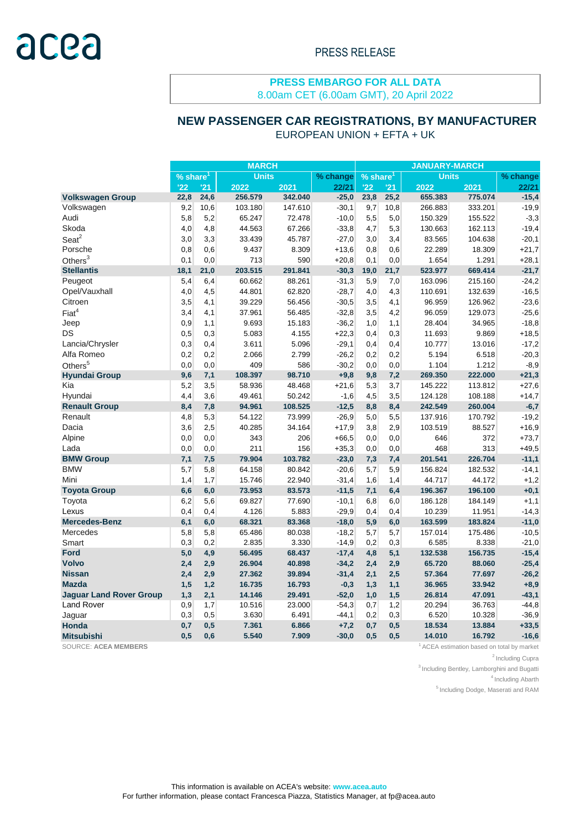#### EUROPEAN UNION + EFTA + UK  **NEW PASSENGER CAR REGISTRATIONS, BY MANUFACTURER**

| <b>Units</b><br><b>Units</b><br>$\sqrt[9]{8}$ share <sup>1</sup><br>% change<br>$%$ share <sup>1</sup><br>'22<br>'21<br>'22<br>2022<br>2022<br>2021<br>22/21<br>'21<br>2021<br>256.579<br>342.040<br>$-25,0$<br>655.383<br>775.074<br><b>Volkswagen Group</b><br>22,8<br>24,6<br>23,8<br>25,2<br>9,2<br>$-30,1$<br>10,6<br>103.180<br>147.610<br>9,7<br>10,8<br>266.883<br>333.201<br>Volkswagen<br>Audi<br>5,8<br>5,2<br>65.247<br>$-10,0$<br>5,5<br>150.329<br>155.522<br>72.478<br>5,0<br>Skoda<br>67.266<br>$-33,8$<br>5,3<br>162.113<br>4,0<br>4,8<br>44.563<br>4,7<br>130.663<br>Seat <sup>2</sup><br>3,0<br>3,3<br>45.787<br>$-27,0$<br>83.565<br>33.439<br>3,0<br>3,4<br>104.638<br>8.309<br>$+13,6$<br>Porsche<br>0,8<br>0,6<br>9.437<br>0,8<br>0,6<br>22.289<br>18.309<br>Others $3$<br>713<br>590<br>$+20,8$<br>0,0<br>1.654<br>1.291<br>0,1<br>0,0<br>0,1<br><b>Stellantis</b><br>18,1<br>203.515<br>291.841<br>$-30,3$<br>669.414<br>21,0<br>19,0<br>21,7<br>523.977<br>Peugeot<br>5,4<br>60.662<br>88.261<br>$-31,3$<br>5,9<br>163.096<br>215.160<br>6,4<br>7,0<br>Opel/Vauxhall<br>4,5<br>$-28,7$<br>4,3<br>132.639<br>4,0<br>44.801<br>62.820<br>4,0<br>110.691<br>Citroen<br>3,5<br>56.456<br>$-30,5$<br>4,1<br>96.959<br>126.962<br>4,1<br>39.229<br>3,5<br>Fiat <sup>4</sup><br>$-32,8$<br>3,5<br>4,2<br>96.059<br>129.073<br>3,4<br>4,1<br>37.961<br>56.485<br>$-36,2$<br>1,1<br>Jeep<br>0,9<br>1,1<br>9.693<br>15.183<br>1,0<br>28.404<br>34.965 | <b>MARCH</b> |  |  |  |  |  | <b>JANUARY-MARCH</b> |  |  |          |  |
|-----------------------------------------------------------------------------------------------------------------------------------------------------------------------------------------------------------------------------------------------------------------------------------------------------------------------------------------------------------------------------------------------------------------------------------------------------------------------------------------------------------------------------------------------------------------------------------------------------------------------------------------------------------------------------------------------------------------------------------------------------------------------------------------------------------------------------------------------------------------------------------------------------------------------------------------------------------------------------------------------------------------------------------------------------------------------------------------------------------------------------------------------------------------------------------------------------------------------------------------------------------------------------------------------------------------------------------------------------------------------------------------------------------------------------------------------------------------------|--------------|--|--|--|--|--|----------------------|--|--|----------|--|
|                                                                                                                                                                                                                                                                                                                                                                                                                                                                                                                                                                                                                                                                                                                                                                                                                                                                                                                                                                                                                                                                                                                                                                                                                                                                                                                                                                                                                                                                       |              |  |  |  |  |  |                      |  |  | % change |  |
|                                                                                                                                                                                                                                                                                                                                                                                                                                                                                                                                                                                                                                                                                                                                                                                                                                                                                                                                                                                                                                                                                                                                                                                                                                                                                                                                                                                                                                                                       |              |  |  |  |  |  |                      |  |  | 22/21    |  |
|                                                                                                                                                                                                                                                                                                                                                                                                                                                                                                                                                                                                                                                                                                                                                                                                                                                                                                                                                                                                                                                                                                                                                                                                                                                                                                                                                                                                                                                                       |              |  |  |  |  |  |                      |  |  | $-15,4$  |  |
|                                                                                                                                                                                                                                                                                                                                                                                                                                                                                                                                                                                                                                                                                                                                                                                                                                                                                                                                                                                                                                                                                                                                                                                                                                                                                                                                                                                                                                                                       |              |  |  |  |  |  |                      |  |  | $-19,9$  |  |
|                                                                                                                                                                                                                                                                                                                                                                                                                                                                                                                                                                                                                                                                                                                                                                                                                                                                                                                                                                                                                                                                                                                                                                                                                                                                                                                                                                                                                                                                       |              |  |  |  |  |  |                      |  |  | $-3,3$   |  |
|                                                                                                                                                                                                                                                                                                                                                                                                                                                                                                                                                                                                                                                                                                                                                                                                                                                                                                                                                                                                                                                                                                                                                                                                                                                                                                                                                                                                                                                                       |              |  |  |  |  |  |                      |  |  | $-19,4$  |  |
|                                                                                                                                                                                                                                                                                                                                                                                                                                                                                                                                                                                                                                                                                                                                                                                                                                                                                                                                                                                                                                                                                                                                                                                                                                                                                                                                                                                                                                                                       |              |  |  |  |  |  |                      |  |  | $-20,1$  |  |
|                                                                                                                                                                                                                                                                                                                                                                                                                                                                                                                                                                                                                                                                                                                                                                                                                                                                                                                                                                                                                                                                                                                                                                                                                                                                                                                                                                                                                                                                       |              |  |  |  |  |  |                      |  |  | $+21,7$  |  |
|                                                                                                                                                                                                                                                                                                                                                                                                                                                                                                                                                                                                                                                                                                                                                                                                                                                                                                                                                                                                                                                                                                                                                                                                                                                                                                                                                                                                                                                                       |              |  |  |  |  |  |                      |  |  | $+28,1$  |  |
|                                                                                                                                                                                                                                                                                                                                                                                                                                                                                                                                                                                                                                                                                                                                                                                                                                                                                                                                                                                                                                                                                                                                                                                                                                                                                                                                                                                                                                                                       |              |  |  |  |  |  |                      |  |  | $-21,7$  |  |
|                                                                                                                                                                                                                                                                                                                                                                                                                                                                                                                                                                                                                                                                                                                                                                                                                                                                                                                                                                                                                                                                                                                                                                                                                                                                                                                                                                                                                                                                       |              |  |  |  |  |  |                      |  |  | $-24,2$  |  |
|                                                                                                                                                                                                                                                                                                                                                                                                                                                                                                                                                                                                                                                                                                                                                                                                                                                                                                                                                                                                                                                                                                                                                                                                                                                                                                                                                                                                                                                                       |              |  |  |  |  |  |                      |  |  | $-16,5$  |  |
|                                                                                                                                                                                                                                                                                                                                                                                                                                                                                                                                                                                                                                                                                                                                                                                                                                                                                                                                                                                                                                                                                                                                                                                                                                                                                                                                                                                                                                                                       |              |  |  |  |  |  |                      |  |  | $-23,6$  |  |
|                                                                                                                                                                                                                                                                                                                                                                                                                                                                                                                                                                                                                                                                                                                                                                                                                                                                                                                                                                                                                                                                                                                                                                                                                                                                                                                                                                                                                                                                       |              |  |  |  |  |  |                      |  |  | $-25,6$  |  |
|                                                                                                                                                                                                                                                                                                                                                                                                                                                                                                                                                                                                                                                                                                                                                                                                                                                                                                                                                                                                                                                                                                                                                                                                                                                                                                                                                                                                                                                                       |              |  |  |  |  |  |                      |  |  | $-18,8$  |  |
| <b>DS</b><br>5.083<br>4.155<br>$+22,3$<br>9.869<br>0,5<br>0,3<br>0,4<br>0,3<br>11.693                                                                                                                                                                                                                                                                                                                                                                                                                                                                                                                                                                                                                                                                                                                                                                                                                                                                                                                                                                                                                                                                                                                                                                                                                                                                                                                                                                                 |              |  |  |  |  |  |                      |  |  | $+18,5$  |  |
| Lancia/Chrysler<br>0,3<br>3.611<br>5.096<br>$-29,1$<br>13.016<br>0,4<br>0,4<br>0,4<br>10.777                                                                                                                                                                                                                                                                                                                                                                                                                                                                                                                                                                                                                                                                                                                                                                                                                                                                                                                                                                                                                                                                                                                                                                                                                                                                                                                                                                          |              |  |  |  |  |  |                      |  |  | $-17,2$  |  |
| Alfa Romeo<br>0,2<br>2.066<br>$-26,2$<br>0,2<br>0,2<br>2.799<br>0,2<br>5.194<br>6.518                                                                                                                                                                                                                                                                                                                                                                                                                                                                                                                                                                                                                                                                                                                                                                                                                                                                                                                                                                                                                                                                                                                                                                                                                                                                                                                                                                                 |              |  |  |  |  |  |                      |  |  | $-20,3$  |  |
| Others <sup>5</sup><br>586<br>$-30,2$<br>0,0<br>409<br>1.104<br>1.212<br>0,0<br>0,0<br>0,0                                                                                                                                                                                                                                                                                                                                                                                                                                                                                                                                                                                                                                                                                                                                                                                                                                                                                                                                                                                                                                                                                                                                                                                                                                                                                                                                                                            |              |  |  |  |  |  |                      |  |  | $-8,9$   |  |
| 7,1<br>108.397<br>98.710<br>$+9,8$<br>7,2<br>269.350<br>222.000<br><b>Hyundai Group</b><br>9,6<br>9,8                                                                                                                                                                                                                                                                                                                                                                                                                                                                                                                                                                                                                                                                                                                                                                                                                                                                                                                                                                                                                                                                                                                                                                                                                                                                                                                                                                 |              |  |  |  |  |  |                      |  |  | $+21,3$  |  |
| 5,2<br>$+21,6$<br>3,5<br>58.936<br>48.468<br>5,3<br>3,7<br>145.222<br>113.812<br>Kia                                                                                                                                                                                                                                                                                                                                                                                                                                                                                                                                                                                                                                                                                                                                                                                                                                                                                                                                                                                                                                                                                                                                                                                                                                                                                                                                                                                  |              |  |  |  |  |  |                      |  |  | $+27,6$  |  |
| 50.242<br>108.188<br>Hyundai<br>4,4<br>3,6<br>49.461<br>$-1,6$<br>4,5<br>3,5<br>124.128                                                                                                                                                                                                                                                                                                                                                                                                                                                                                                                                                                                                                                                                                                                                                                                                                                                                                                                                                                                                                                                                                                                                                                                                                                                                                                                                                                               |              |  |  |  |  |  |                      |  |  | $+14,7$  |  |
| $-12,5$<br><b>Renault Group</b><br>8,4<br>7,8<br>94.961<br>108.525<br>8,4<br>242.549<br>260.004<br>8,8                                                                                                                                                                                                                                                                                                                                                                                                                                                                                                                                                                                                                                                                                                                                                                                                                                                                                                                                                                                                                                                                                                                                                                                                                                                                                                                                                                |              |  |  |  |  |  |                      |  |  | $-6,7$   |  |
| 4,8<br>5,3<br>54.122<br>$-26,9$<br>5,0<br>5,5<br>Renault<br>73.999<br>137.916<br>170.792                                                                                                                                                                                                                                                                                                                                                                                                                                                                                                                                                                                                                                                                                                                                                                                                                                                                                                                                                                                                                                                                                                                                                                                                                                                                                                                                                                              |              |  |  |  |  |  |                      |  |  | $-19,2$  |  |
| 3,6<br>2,5<br>$+17,9$<br>2,9<br>88.527<br>Dacia<br>40.285<br>34.164<br>3,8<br>103.519                                                                                                                                                                                                                                                                                                                                                                                                                                                                                                                                                                                                                                                                                                                                                                                                                                                                                                                                                                                                                                                                                                                                                                                                                                                                                                                                                                                 |              |  |  |  |  |  |                      |  |  | $+16,9$  |  |
| Alpine<br>0,0<br>0,0<br>343<br>206<br>$+66,5$<br>0,0<br>0,0<br>646<br>372                                                                                                                                                                                                                                                                                                                                                                                                                                                                                                                                                                                                                                                                                                                                                                                                                                                                                                                                                                                                                                                                                                                                                                                                                                                                                                                                                                                             |              |  |  |  |  |  |                      |  |  | $+73,7$  |  |
| 211<br>156<br>$+35,3$<br>468<br>313<br>Lada<br>0,0<br>0,0<br>0,0<br>0,0                                                                                                                                                                                                                                                                                                                                                                                                                                                                                                                                                                                                                                                                                                                                                                                                                                                                                                                                                                                                                                                                                                                                                                                                                                                                                                                                                                                               |              |  |  |  |  |  |                      |  |  | $+49,5$  |  |
| <b>BMW Group</b><br>7,1<br>7,5<br>79.904<br>$-23,0$<br>7,3<br>201.541<br>226.704<br>103.782<br>7,4                                                                                                                                                                                                                                                                                                                                                                                                                                                                                                                                                                                                                                                                                                                                                                                                                                                                                                                                                                                                                                                                                                                                                                                                                                                                                                                                                                    |              |  |  |  |  |  |                      |  |  | $-11,1$  |  |
| <b>BMW</b><br>5,7<br>5,8<br>$-20,6$<br>5,7<br>5,9<br>64.158<br>80.842<br>156.824<br>182.532                                                                                                                                                                                                                                                                                                                                                                                                                                                                                                                                                                                                                                                                                                                                                                                                                                                                                                                                                                                                                                                                                                                                                                                                                                                                                                                                                                           |              |  |  |  |  |  |                      |  |  | $-14,1$  |  |
| Mini<br>15.746<br>22.940<br>$-31,4$<br>44.717<br>44.172<br>1,4<br>1,7<br>1,6<br>1,4                                                                                                                                                                                                                                                                                                                                                                                                                                                                                                                                                                                                                                                                                                                                                                                                                                                                                                                                                                                                                                                                                                                                                                                                                                                                                                                                                                                   |              |  |  |  |  |  |                      |  |  | $+1,2$   |  |
| 6,6<br>73.953<br>83.573<br>$-11,5$<br><b>Toyota Group</b><br>6,0<br>7,1<br>196.367<br>196.100<br>6,4                                                                                                                                                                                                                                                                                                                                                                                                                                                                                                                                                                                                                                                                                                                                                                                                                                                                                                                                                                                                                                                                                                                                                                                                                                                                                                                                                                  |              |  |  |  |  |  |                      |  |  | $+0,1$   |  |
| 6,2<br>5,6<br>69.827<br>77.690<br>$-10,1$<br>6,8<br>6,0<br>186.128<br>184.149<br>Toyota                                                                                                                                                                                                                                                                                                                                                                                                                                                                                                                                                                                                                                                                                                                                                                                                                                                                                                                                                                                                                                                                                                                                                                                                                                                                                                                                                                               |              |  |  |  |  |  |                      |  |  | $+1,1$   |  |
| 5.883<br>$-29,9$<br>10.239<br>11.951<br>Lexus<br>0,4<br>0,4<br>4.126<br>0,4<br>0,4                                                                                                                                                                                                                                                                                                                                                                                                                                                                                                                                                                                                                                                                                                                                                                                                                                                                                                                                                                                                                                                                                                                                                                                                                                                                                                                                                                                    |              |  |  |  |  |  |                      |  |  | $-14,3$  |  |
| <b>Mercedes-Benz</b><br>$-18,0$<br>6,1<br>6,0<br>68.321<br>83.368<br>5,9<br>6,0<br>163.599<br>183.824                                                                                                                                                                                                                                                                                                                                                                                                                                                                                                                                                                                                                                                                                                                                                                                                                                                                                                                                                                                                                                                                                                                                                                                                                                                                                                                                                                 |              |  |  |  |  |  |                      |  |  | $-11,0$  |  |
| 5,7<br>5,8<br>$-18,2$<br>5,7<br>Mercedes<br>5,8<br>65.486<br>80.038<br>157.014<br>175.486                                                                                                                                                                                                                                                                                                                                                                                                                                                                                                                                                                                                                                                                                                                                                                                                                                                                                                                                                                                                                                                                                                                                                                                                                                                                                                                                                                             |              |  |  |  |  |  |                      |  |  | $-10,5$  |  |
| $-14,9$<br>0,2<br>8.338<br>0,3<br>0,2<br>2.835<br>3.330<br>0,3<br>6.585<br>Smart                                                                                                                                                                                                                                                                                                                                                                                                                                                                                                                                                                                                                                                                                                                                                                                                                                                                                                                                                                                                                                                                                                                                                                                                                                                                                                                                                                                      |              |  |  |  |  |  |                      |  |  | $-21,0$  |  |
| $-17,4$<br><b>Ford</b><br>5,0<br>4,9<br>56.495<br>68.437<br>4,8<br>5,1<br>132.538<br>156.735                                                                                                                                                                                                                                                                                                                                                                                                                                                                                                                                                                                                                                                                                                                                                                                                                                                                                                                                                                                                                                                                                                                                                                                                                                                                                                                                                                          |              |  |  |  |  |  |                      |  |  | $-15,4$  |  |
| <b>Volvo</b><br>2,4<br>26.904<br>40.898<br>$-34,2$<br>2,4<br>2,9<br>65.720<br>88.060<br>2,9                                                                                                                                                                                                                                                                                                                                                                                                                                                                                                                                                                                                                                                                                                                                                                                                                                                                                                                                                                                                                                                                                                                                                                                                                                                                                                                                                                           |              |  |  |  |  |  |                      |  |  | $-25,4$  |  |
| 2,5<br><b>Nissan</b><br>2,4<br>2,9<br>27.362<br>39.894<br>$-31,4$<br>2,1<br>57.364<br>77.697                                                                                                                                                                                                                                                                                                                                                                                                                                                                                                                                                                                                                                                                                                                                                                                                                                                                                                                                                                                                                                                                                                                                                                                                                                                                                                                                                                          |              |  |  |  |  |  |                      |  |  | $-26,2$  |  |
| <b>Mazda</b><br>1,1<br>1,5<br>1,2<br>16.735<br>16.793<br>$-0,3$<br>1,3<br>33.942<br>36.965                                                                                                                                                                                                                                                                                                                                                                                                                                                                                                                                                                                                                                                                                                                                                                                                                                                                                                                                                                                                                                                                                                                                                                                                                                                                                                                                                                            |              |  |  |  |  |  |                      |  |  | $+8,9$   |  |
| 14.146<br>$-52,0$<br><b>Jaguar Land Rover Group</b><br>1,3<br>2,1<br>29.491<br>1,0<br>1,5<br>26.814<br>47.091                                                                                                                                                                                                                                                                                                                                                                                                                                                                                                                                                                                                                                                                                                                                                                                                                                                                                                                                                                                                                                                                                                                                                                                                                                                                                                                                                         |              |  |  |  |  |  |                      |  |  | $-43,1$  |  |
| 10.516<br>$-54,3$<br>1,2<br><b>Land Rover</b><br>0,9<br>1,7<br>23.000<br>0,7<br>20.294<br>36.763                                                                                                                                                                                                                                                                                                                                                                                                                                                                                                                                                                                                                                                                                                                                                                                                                                                                                                                                                                                                                                                                                                                                                                                                                                                                                                                                                                      |              |  |  |  |  |  |                      |  |  | $-44,8$  |  |
| 0,3<br>0,5<br>3.630<br>6.491<br>$-44,1$<br>0,2<br>0,3<br>6.520<br>10.328<br>Jaguar                                                                                                                                                                                                                                                                                                                                                                                                                                                                                                                                                                                                                                                                                                                                                                                                                                                                                                                                                                                                                                                                                                                                                                                                                                                                                                                                                                                    |              |  |  |  |  |  |                      |  |  | $-36,9$  |  |
| Honda<br>0,7<br>0,5<br>7.361<br>6.866<br>$+7,2$<br>0,7<br>0,5<br>18.534<br>13.884                                                                                                                                                                                                                                                                                                                                                                                                                                                                                                                                                                                                                                                                                                                                                                                                                                                                                                                                                                                                                                                                                                                                                                                                                                                                                                                                                                                     |              |  |  |  |  |  |                      |  |  | $+33,5$  |  |
| <b>Mitsubishi</b><br>0,5<br>5.540<br>7.909<br>0,5<br>14.010<br>16.792<br>0,6<br>$-30,0$<br>0,5                                                                                                                                                                                                                                                                                                                                                                                                                                                                                                                                                                                                                                                                                                                                                                                                                                                                                                                                                                                                                                                                                                                                                                                                                                                                                                                                                                        |              |  |  |  |  |  |                      |  |  | $-16,6$  |  |

SOURCE: ACEA MEMBERS **1** ACEA estimation based on total by market

<sup>2</sup> Including Cupra

 $3$  Including Bentley, Lamborghini and Bugatti

<sup>4</sup> Including Abarth

<sup>5</sup> Including Dodge, Maserati and RAM